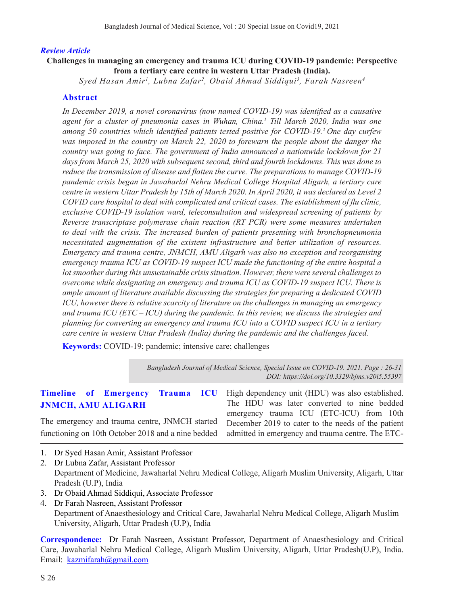#### *Review Article*

### **Challenges in managing an emergency and trauma ICU during COVID-19 pandemic: Perspective from a tertiary care centre in western Uttar Pradesh (India).**

*Syed Hasan Amir1 , Lubna Zafar2 , Obaid Ahmad Siddiqui3 , Farah Nasreen4*

#### **Abstract**

*In December 2019, a novel coronavirus (now named COVID-19) was identified as a causative agent for a cluster of pneumonia cases in Wuhan, China.1 Till March 2020, India was one among 50 countries which identified patients tested positive for COVID-19.2 One day curfew was imposed in the country on March 22, 2020 to forewarn the people about the danger the country was going to face. The government of India announced a nationwide lockdown for 21 days from March 25, 2020 with subsequent second, third and fourth lockdowns. This was done to reduce the transmission of disease and flatten the curve. The preparations to manage COVID-19 pandemic crisis began in Jawaharlal Nehru Medical College Hospital Aligarh, a tertiary care centre in western Uttar Pradesh by 15th of March 2020. In April 2020, it was declared as Level 2 COVID care hospital to deal with complicated and critical cases. The establishment of flu clinic, exclusive COVID-19 isolation ward, teleconsultation and widespread screening of patients by Reverse transcriptase polymerase chain reaction (RT PCR) were some measures undertaken to deal with the crisis. The increased burden of patients presenting with bronchopneumonia necessitated augmentation of the existent infrastructure and better utilization of resources. Emergency and trauma centre, JNMCH, AMU Aligarh was also no exception and reorganising emergency trauma ICU as COVID-19 suspect ICU made the functioning of the entire hospital a lot smoother during this unsustainable crisis situation. However, there were several challenges to overcome while designating an emergency and trauma ICU as COVID-19 suspect ICU. There is ample amount of literature available discussing the strategies for preparing a dedicated COVID ICU, however there is relative scarcity of literature on the challenges in managing an emergency and trauma ICU (ETC – ICU) during the pandemic. In this review, we discuss the strategies and planning for converting an emergency and trauma ICU into a COVID suspect ICU in a tertiary care centre in western Uttar Pradesh (India) during the pandemic and the challenges faced.*

**Keywords:** COVID-19; pandemic; intensive care; challenges

*Bangladesh Journal of Medical Science, Special Issue on COVID-19. 2021. Page : 26-31 DOI: https://doi.org/10.3329/bjms.v20i5.55397* 

|                                                | Timeline of Emergency Trauma ICU High dependency unit (HDU) was also established.                    |
|------------------------------------------------|------------------------------------------------------------------------------------------------------|
| <b>JNMCH, AMU ALIGARH</b>                      | The HDU was later converted to nine bedded<br>emergency trauma ICU (ETC-ICU) from 10th               |
| The emergency and trauma centre, JNMCH started | December 2019 to cater to the needs of the patient                                                   |
|                                                | functioning on 10th October 2018 and a nine bedded admitted in emergency and trauma centre. The ETC- |
| 1. Dr Syed Hasan Amir, Assistant Professor     |                                                                                                      |

- 2. Dr Lubna Zafar, Assistant Professor Department of Medicine, Jawaharlal Nehru Medical College, Aligarh Muslim University, Aligarh, Uttar Pradesh (U.P), India
- 3. Dr Obaid Ahmad Siddiqui, Associate Professor
- 4. Dr Farah Nasreen, Assistant Professor Department of Anaesthesiology and Critical Care, Jawaharlal Nehru Medical College, Aligarh Muslim University, Aligarh, Uttar Pradesh (U.P), India

**Correspondence:** Dr Farah Nasreen, Assistant Professor, Department of Anaesthesiology and Critical Care, Jawaharlal Nehru Medical College, Aligarh Muslim University, Aligarh, Uttar Pradesh(U.P), India. Email: kazmifarah@gmail.com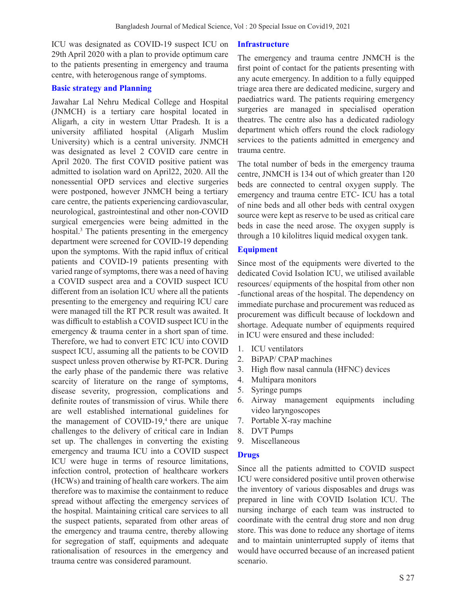ICU was designated as COVID-19 suspect ICU on 29th April 2020 with a plan to provide optimum care to the patients presenting in emergency and trauma centre, with heterogenous range of symptoms.

#### **Basic strategy and Planning**

Jawahar Lal Nehru Medical College and Hospital (JNMCH) is a tertiary care hospital located in Aligarh, a city in western Uttar Pradesh. It is a university affiliated hospital (Aligarh Muslim University) which is a central university. JNMCH was designated as level 2 COVID care centre in April 2020. The first COVID positive patient was admitted to isolation ward on April22, 2020. All the nonessential OPD services and elective surgeries were postponed, however JNMCH being a tertiary care centre, the patients experiencing cardiovascular, neurological, gastrointestinal and other non-COVID surgical emergencies were being admitted in the hospital.3 The patients presenting in the emergency department were screened for COVID-19 depending upon the symptoms. With the rapid influx of critical patients and COVID-19 patients presenting with varied range of symptoms, there was a need of having a COVID suspect area and a COVID suspect ICU different from an isolation ICU where all the patients presenting to the emergency and requiring ICU care were managed till the RT PCR result was awaited. It was difficult to establish a COVID suspect ICU in the emergency & trauma center in a short span of time. Therefore, we had to convert ETC ICU into COVID suspect ICU, assuming all the patients to be COVID suspect unless proven otherwise by RT-PCR. During the early phase of the pandemic there was relative scarcity of literature on the range of symptoms, disease severity, progression, complications and definite routes of transmission of virus. While there are well established international guidelines for the management of COVID-19, $4$  there are unique challenges to the delivery of critical care in Indian set up. The challenges in converting the existing emergency and trauma ICU into a COVID suspect ICU were huge in terms of resource limitations, infection control, protection of healthcare workers (HCWs) and training of health care workers. The aim therefore was to maximise the containment to reduce spread without affecting the emergency services of the hospital. Maintaining critical care services to all the suspect patients, separated from other areas of the emergency and trauma centre, thereby allowing for segregation of staff, equipments and adequate rationalisation of resources in the emergency and trauma centre was considered paramount.

#### **Infrastructure**

The emergency and trauma centre JNMCH is the first point of contact for the patients presenting with any acute emergency. In addition to a fully equipped triage area there are dedicated medicine, surgery and paediatrics ward. The patients requiring emergency surgeries are managed in specialised operation theatres. The centre also has a dedicated radiology department which offers round the clock radiology services to the patients admitted in emergency and trauma centre.

The total number of beds in the emergency trauma centre, JNMCH is 134 out of which greater than 120 beds are connected to central oxygen supply. The emergency and trauma centre ETC- ICU has a total of nine beds and all other beds with central oxygen source were kept as reserve to be used as critical care beds in case the need arose. The oxygen supply is through a 10 kilolitres liquid medical oxygen tank.

#### **Equipment**

Since most of the equipments were diverted to the dedicated Covid Isolation ICU, we utilised available resources/ equipments of the hospital from other non -functional areas of the hospital. The dependency on immediate purchase and procurement was reduced as procurement was difficult because of lockdown and shortage. Adequate number of equipments required in ICU were ensured and these included:

- 1. ICU ventilators
- 2. BiPAP/ CPAP machines
- 3. High flow nasal cannula (HFNC) devices
- 4. Multipara monitors
- 5. Syringe pumps
- 6. Airway management equipments including video laryngoscopes
- 7. Portable X-ray machine
- 8. DVT Pumps
- 9. Miscellaneous

#### **Drugs**

Since all the patients admitted to COVID suspect ICU were considered positive until proven otherwise the inventory of various disposables and drugs was prepared in line with COVID Isolation ICU. The nursing incharge of each team was instructed to coordinate with the central drug store and non drug store. This was done to reduce any shortage of items and to maintain uninterrupted supply of items that would have occurred because of an increased patient scenario.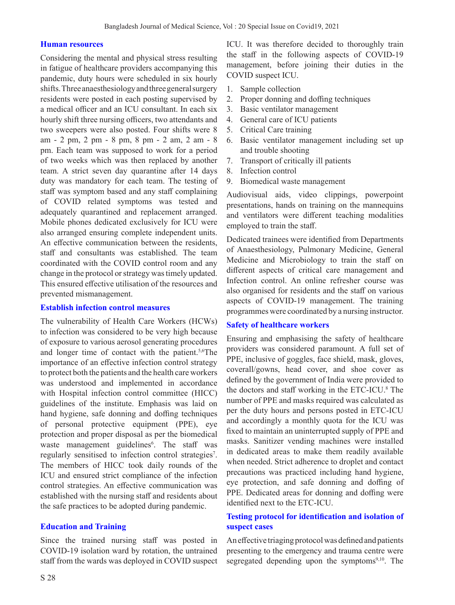### **Human resources**

Considering the mental and physical stress resulting in fatigue of healthcare providers accompanying this pandemic, duty hours were scheduled in six hourly shifts. Three anaesthesiology and three general surgery residents were posted in each posting supervised by a medical officer and an ICU consultant. In each six hourly shift three nursing officers, two attendants and two sweepers were also posted. Four shifts were 8 am - 2 pm, 2 pm - 8 pm, 8 pm - 2 am, 2 am - 8 pm. Each team was supposed to work for a period of two weeks which was then replaced by another team. A strict seven day quarantine after 14 days duty was mandatory for each team. The testing of staff was symptom based and any staff complaining of COVID related symptoms was tested and adequately quarantined and replacement arranged. Mobile phones dedicated exclusively for ICU were also arranged ensuring complete independent units. An effective communication between the residents, staff and consultants was established. The team coordinated with the COVID control room and any change in the protocol or strategy was timely updated. This ensured effective utilisation of the resources and prevented mismanagement.

### **Establish infection control measures**

The vulnerability of Health Care Workers (HCWs) to infection was considered to be very high because of exposure to various aerosol generating procedures and longer time of contact with the patient.<sup>5,6</sup>The importance of an effective infection control strategy to protect both the patients and the health care workers was understood and implemented in accordance with Hospital infection control committee (HICC) guidelines of the institute. Emphasis was laid on hand hygiene, safe donning and doffing techniques of personal protective equipment (PPE), eye protection and proper disposal as per the biomedical waste management guidelines<sup>6</sup>. The staff was regularly sensitised to infection control strategies<sup>7</sup>. The members of HICC took daily rounds of the ICU and ensured strict compliance of the infection control strategies. An effective communication was established with the nursing staff and residents about the safe practices to be adopted during pandemic.

# **Education and Training**

Since the trained nursing staff was posted in COVID-19 isolation ward by rotation, the untrained staff from the wards was deployed in COVID suspect

ICU. It was therefore decided to thoroughly train the staff in the following aspects of COVID-19 management, before joining their duties in the COVID suspect ICU.

- 1. Sample collection
- 2. Proper donning and doffing techniques
- 3. Basic ventilator management
- 4. General care of ICU patients
- 5. Critical Care training
- 6. Basic ventilator management including set up and trouble shooting
- 7. Transport of critically ill patients
- 8. Infection control
- 9. Biomedical waste management

Audiovisual aids, video clippings, powerpoint presentations, hands on training on the mannequins and ventilators were different teaching modalities employed to train the staff.

Dedicated trainees were identified from Departments of Anaesthesiology, Pulmonary Medicine, General Medicine and Microbiology to train the staff on different aspects of critical care management and Infection control. An online refresher course was also organised for residents and the staff on various aspects of COVID-19 management. The training programmes were coordinated by a nursing instructor.

# **Safety of healthcare workers**

Ensuring and emphasising the safety of healthcare providers was considered paramount. A full set of PPE, inclusive of goggles, face shield, mask, gloves, coverall/gowns, head cover, and shoe cover as defined by the government of India were provided to the doctors and staff working in the ETC-ICU.<sup>8</sup> The number of PPE and masks required was calculated as per the duty hours and persons posted in ETC-ICU and accordingly a monthly quota for the ICU was fixed to maintain an uninterrupted supply of PPE and masks. Sanitizer vending machines were installed in dedicated areas to make them readily available when needed. Strict adherence to droplet and contact precautions was practiced including hand hygiene, eye protection, and safe donning and doffing of PPE. Dedicated areas for donning and doffing were identified next to the ETC-ICU.

# **Testing protocol for identification and isolation of suspect cases**

An effective triaging protocol was defined and patients presenting to the emergency and trauma centre were segregated depending upon the symptoms $9,10$ . The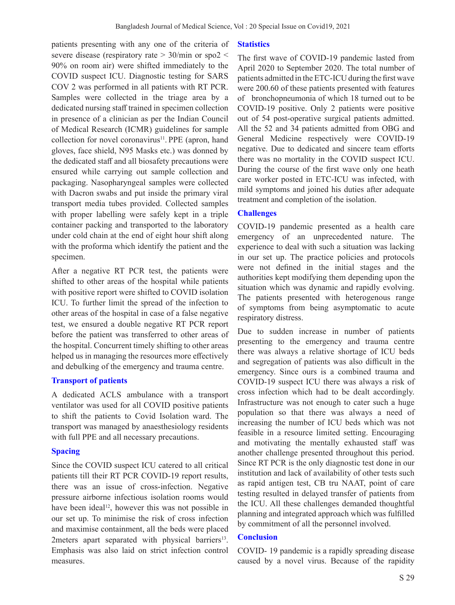patients presenting with any one of the criteria of severe disease (respiratory rate > 30/min or spo2 < 90% on room air) were shifted immediately to the COVID suspect ICU. Diagnostic testing for SARS COV 2 was performed in all patients with RT PCR. Samples were collected in the triage area by a dedicated nursing staff trained in specimen collection in presence of a clinician as per the Indian Council of Medical Research (ICMR) guidelines for sample collection for novel coronavirus $11$ . PPE (apron, hand gloves, face shield, N95 Masks etc.) was donned by the dedicated staff and all biosafety precautions were ensured while carrying out sample collection and packaging. Nasopharyngeal samples were collected with Dacron swabs and put inside the primary viral transport media tubes provided. Collected samples with proper labelling were safely kept in a triple container packing and transported to the laboratory under cold chain at the end of eight hour shift along with the proforma which identify the patient and the specimen.

After a negative RT PCR test, the patients were shifted to other areas of the hospital while patients with positive report were shifted to COVID isolation ICU. To further limit the spread of the infection to other areas of the hospital in case of a false negative test, we ensured a double negative RT PCR report before the patient was transferred to other areas of the hospital. Concurrent timely shifting to other areas helped us in managing the resources more effectively and debulking of the emergency and trauma centre.

# **Transport of patients**

A dedicated ACLS ambulance with a transport ventilator was used for all COVID positive patients to shift the patients to Covid Isolation ward. The transport was managed by anaesthesiology residents with full PPE and all necessary precautions.

# **Spacing**

Since the COVID suspect ICU catered to all critical patients till their RT PCR COVID-19 report results, there was an issue of cross-infection. Negative pressure airborne infectious isolation rooms would have been ideal<sup>12</sup>, however this was not possible in our set up. To minimise the risk of cross infection and maximise containment, all the beds were placed 2meters apart separated with physical barriers<sup>13</sup>. Emphasis was also laid on strict infection control measures.

### **Statistics**

The first wave of COVID-19 pandemic lasted from April 2020 to September 2020. The total number of patients admitted in the ETC-ICU during the first wave were 200.60 of these patients presented with features of bronchopneumonia of which 18 turned out to be COVID-19 positive. Only 2 patients were positive out of 54 post-operative surgical patients admitted. All the 52 and 34 patients admitted from OBG and General Medicine respectively were COVID-19 negative. Due to dedicated and sincere team efforts there was no mortality in the COVID suspect ICU. During the course of the first wave only one heath care worker posted in ETC-ICU was infected, with mild symptoms and joined his duties after adequate treatment and completion of the isolation.

# **Challenges**

COVID-19 pandemic presented as a health care emergency of an unprecedented nature. The experience to deal with such a situation was lacking in our set up. The practice policies and protocols were not defined in the initial stages and the authorities kept modifying them depending upon the situation which was dynamic and rapidly evolving. The patients presented with heterogenous range of symptoms from being asymptomatic to acute respiratory distress.

Due to sudden increase in number of patients presenting to the emergency and trauma centre there was always a relative shortage of ICU beds and segregation of patients was also difficult in the emergency. Since ours is a combined trauma and COVID-19 suspect ICU there was always a risk of cross infection which had to be dealt accordingly. Infrastructure was not enough to cater such a huge population so that there was always a need of increasing the number of ICU beds which was not feasible in a resource limited setting. Encouraging and motivating the mentally exhausted staff was another challenge presented throughout this period. Since RT PCR is the only diagnostic test done in our institution and lack of availability of other tests such as rapid antigen test, CB tru NAAT, point of care testing resulted in delayed transfer of patients from the ICU. All these challenges demanded thoughtful planning and integrated approach which was fulfilled by commitment of all the personnel involved.

# **Conclusion**

COVID- 19 pandemic is a rapidly spreading disease caused by a novel virus. Because of the rapidity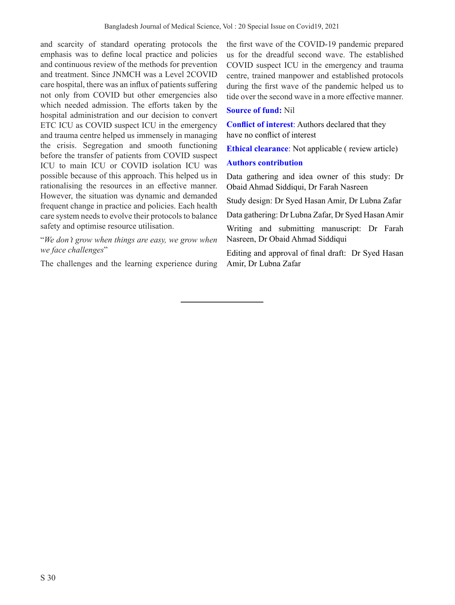and scarcity of standard operating protocols the emphasis was to define local practice and policies and continuous review of the methods for prevention and treatment. Since JNMCH was a Level 2COVID care hospital, there was an influx of patients suffering not only from COVID but other emergencies also which needed admission. The efforts taken by the hospital administration and our decision to convert ETC ICU as COVID suspect ICU in the emergency and trauma centre helped us immensely in managing the crisis. Segregation and smooth functioning before the transfer of patients from COVID suspect ICU to main ICU or COVID isolation ICU was possible because of this approach. This helped us in rationalising the resources in an effective manner. However, the situation was dynamic and demanded frequent change in practice and policies. Each health care system needs to evolve their protocols to balance safety and optimise resource utilisation.

### "*We don't grow when things are easy, we grow when we face challenges*"

The challenges and the learning experience during

the first wave of the COVID-19 pandemic prepared us for the dreadful second wave. The established COVID suspect ICU in the emergency and trauma centre, trained manpower and established protocols during the first wave of the pandemic helped us to tide over the second wave in a more effective manner.

## **Source of fund:** Nil

**Conflict of interest**: Authors declared that they have no conflict of interest

**Ethical clearance**: Not applicable ( review article)

### **Authors contribution**

Data gathering and idea owner of this study: Dr Obaid Ahmad Siddiqui, Dr Farah Nasreen

Study design: Dr Syed Hasan Amir, Dr Lubna Zafar

Data gathering: Dr Lubna Zafar, Dr Syed Hasan Amir

Writing and submitting manuscript: Dr Farah Nasreen, Dr Obaid Ahmad Siddiqui

Editing and approval of final draft: Dr Syed Hasan Amir, Dr Lubna Zafar